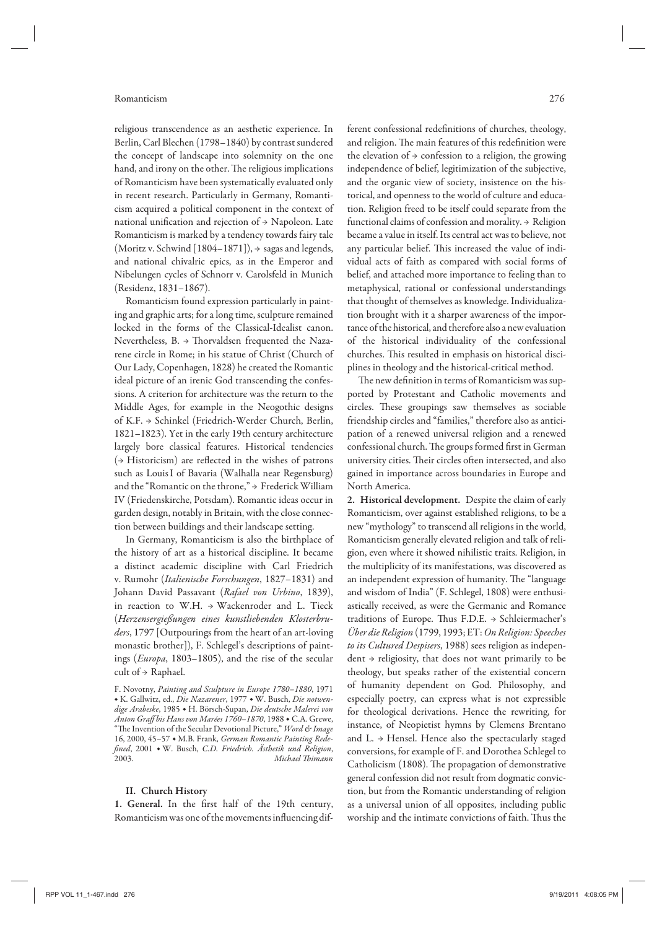### Romanticism 276

religious transcendence as an aesthetic experience. In Berlin, Carl Blechen (1798–1840) by contrast sundered the concept of landscape into solemnity on the one hand, and irony on the other. The religious implications of Romanticism have been systematically evaluated only in recent research. Particularly in Germany, Romanticism acquired a political component in the context of national unification and rejection of  $\rightarrow$  Napoleon. Late Romanticism is marked by a tendency towards fairy tale (Moritz v. Schwind [1804–1871]), → sagas and legends, and national chivalric epics, as in the Emperor and Nibelungen cycles of Schnorr v. Carolsfeld in Munich (Residenz, 1831–1867).

Romanticism found expression particularly in painting and graphic arts; for a long time, sculpture remained locked in the forms of the Classical-Idealist canon. Nevertheless, B. → Thorvaldsen frequented the Nazarene circle in Rome; in his statue of Christ (Church of Our Lady, Copenhagen, 1828) he created the Romantic ideal picture of an irenic God transcending the confessions. A criterion for architecture was the return to the Middle Ages, for example in the Neogothic designs of K.F. → Schinkel (Friedrich-Werder Church, Berlin, 1821–1823). Yet in the early 19th century architecture largely bore classical features. Historical tendencies  $($   $\rightarrow$  Historicism) are reflected in the wishes of patrons such as Louis I of Bavaria (Walhalla near Regensburg) and the "Romantic on the throne," → Frederick William IV (Friedenskirche, Potsdam). Romantic ideas occur in garden design, notably in Britain, with the close connection between buildings and their landscape setting.

In Germany, Romanticism is also the birthplace of the history of art as a historical discipline. It became a distinct academic discipline with Carl Friedrich v. Rumohr (*Italienische Forschungen*, 1827–1831) and Johann David Passavant (*Rafael von Urbino*, 1839), in reaction to W.H. → Wackenroder and L. Tieck (*Herzensergießungen eines kunstliebenden Klosterbruders*, 1797 [Outpourings from the heart of an art-loving monastic brother]), F. Schlegel's descriptions of paintings (*Europa*, 1803–1805), and the rise of the secular cult of → Raphael.

# **II. Church History**

**1. General.** In the first half of the 19th century, Romanticism was one of the movements influencing different confessional redefinitions of churches, theology, and religion. The main features of this redefinition were the elevation of  $\rightarrow$  confession to a religion, the growing independence of belief, legitimization of the subjective, and the organic view of society, insistence on the historical, and openness to the world of culture and education. Religion freed to be itself could separate from the functional claims of confession and morality. → Religion became a value in itself. Its central act was to believe, not any particular belief. This increased the value of individual acts of faith as compared with social forms of belief, and attached more importance to feeling than to metaphysical, rational or confessional understandings that thought of themselves as knowledge. Individualization brought with it a sharper awareness of the importance of the historical, and therefore also a new evaluation of the historical individuality of the confessional churches. This resulted in emphasis on historical disciplines in theology and the historical-critical method.

The new definition in terms of Romanticism was supported by Protestant and Catholic movements and circles. These groupings saw themselves as sociable friendship circles and "families," therefore also as anticipation of a renewed universal religion and a renewed confessional church. The groups formed first in German university cities. Their circles often intersected, and also gained in importance across boundaries in Europe and North America.

**2. Historical development.** Despite the claim of early Romanticism, over against established religions, to be a new "mythology" to transcend all religions in the world, Romanticism generally elevated religion and talk of religion, even where it showed nihilistic traits. Religion, in the multiplicity of its manifestations, was discovered as an independent expression of humanity. The "language and wisdom of India" (F. Schlegel, 1808) were enthusiastically received, as were the Germanic and Romance traditions of Europe. Thus F.D.E. → Schleiermacher's *Über die Religion* (1799, 1993; ET: *On Religion: Speeches to its Cultured Despisers*, 1988) sees religion as independent → religiosity, that does not want primarily to be theology, but speaks rather of the existential concern of humanity dependent on God. Philosophy, and especially poetry, can express what is not expressible for theological derivations. Hence the rewriting, for instance, of Neopietist hymns by Clemens Brentano and L.  $\rightarrow$  Hensel. Hence also the spectacularly staged conversions, for example of F. and Dorothea Schlegel to Catholicism (1808). The propagation of demonstrative general confession did not result from dogmatic conviction, but from the Romantic understanding of religion as a universal union of all opposites, including public worship and the intimate convictions of faith. Thus the

F. Novotny, *Painting and Sculpture in Europe 1780–1880*, 1971 ◆ K. Gallwitz, ed., *Die Nazarener*, 1977 ◆ W. Busch, *Die notwendige Arabeske*, 1985 ◆ H. Börsch-Supan, *Die deutsche Malerei von Anton Graff bis Hans von Marées 1760–1870*, 1988 ◆ C.A. Grewe, "The Invention of the Secular Devotional Picture," *Word & Image* 16, 2000, 45–57 ◆ M.B. Frank, *German Romantic Painting Redefined*, 2001 ◆ W. Busch, *C.D. Friedrich. Ästhetik und Religion*, 2003. *Michael Thimann*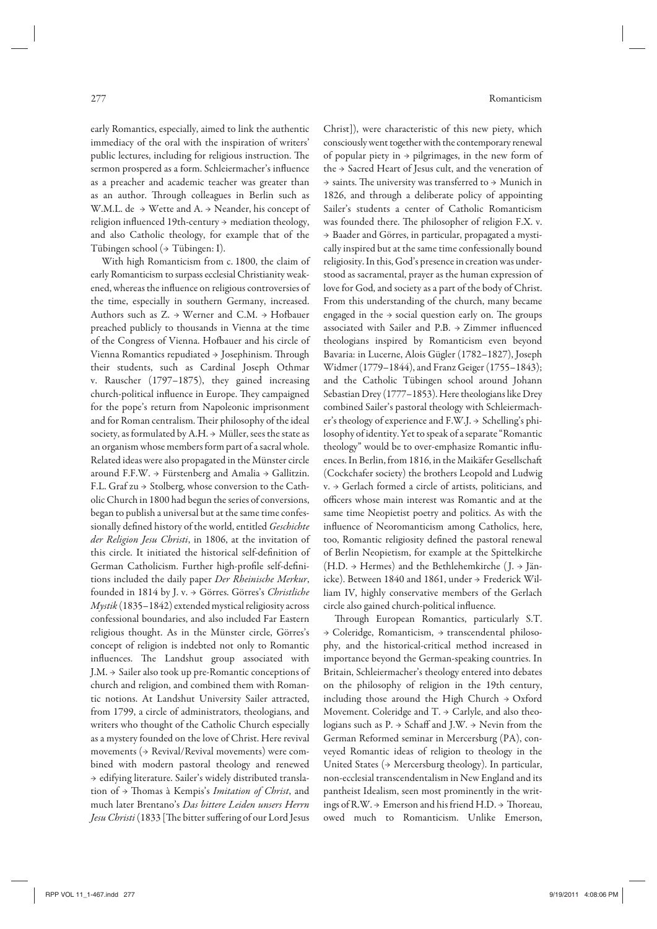early Romantics, especially, aimed to link the authentic immediacy of the oral with the inspiration of writers' public lectures, including for religious instruction. The sermon prospered as a form. Schleiermacher's influence as a preacher and academic teacher was greater than as an author. Through colleagues in Berlin such as W.M.L. de → Wette and A. → Neander, his concept of religion influenced 19th-century → mediation theology, and also Catholic theology, for example that of the Tübingen school (→ Tübingen: I).

With high Romanticism from c. 1800, the claim of early Romanticism to surpass ecclesial Christianity weakened, whereas the influence on religious controversies of the time, especially in southern Germany, increased. Authors such as  $Z. \rightarrow W$ erner and  $C.M. \rightarrow H$ ofbauer preached publicly to thousands in Vienna at the time of the Congress of Vienna. Hofbauer and his circle of Vienna Romantics repudiated → Josephinism. Through their students, such as Cardinal Joseph Othmar v. Rauscher (1797–1875), they gained increasing church-political influence in Europe. They campaigned for the pope's return from Napoleonic imprisonment and for Roman centralism. Their philosophy of the ideal society, as formulated by A.H.  $\rightarrow$  Müller, sees the state as an organism whose members form part of a sacral whole. Related ideas were also propagated in the Münster circle around F.F.W.  $\rightarrow$  Fürstenberg and Amalia  $\rightarrow$  Gallitzin. F.L. Graf zu → Stolberg, whose conversion to the Catholic Church in 1800 had begun the series of conversions, began to publish a universal but at the same time confessionally defined history of the world, entitled *Geschichte der Religion Jesu Christi*, in 1806, at the invitation of this circle. It initiated the historical self-definition of German Catholicism. Further high-profile self-definitions included the daily paper *Der Rheinische Merkur*, founded in 1814 by J. v. → Görres. Görres's *Christliche Mystik* (1835–1842) extended mystical religiosity across confessional boundaries, and also included Far Eastern religious thought. As in the Münster circle, Görres's concept of religion is indebted not only to Romantic influences. The Landshut group associated with J.M. → Sailer also took up pre-Romantic conceptions of church and religion, and combined them with Romantic notions. At Landshut University Sailer attracted, from 1799, a circle of administrators, theologians, and writers who thought of the Catholic Church especially as a mystery founded on the love of Christ. Here revival movements  $($   $\rightarrow$  Revival/Revival movements) were combined with modern pastoral theology and renewed → edifying literature. Sailer's widely distributed translation of → Thomas à Kempis's *Imitation of Christ*, and much later Brentano's *Das bittere Leiden unsers Herrn Jesu Christi* (1833 [The bitter suffering of our Lord Jesus

Christ]), were characteristic of this new piety, which consciously went together with the contemporary renewal of popular piety in  $\rightarrow$  pilgrimages, in the new form of the → Sacred Heart of Jesus cult, and the veneration of  $\rightarrow$  saints. The university was transferred to  $\rightarrow$  Munich in 1826, and through a deliberate policy of appointing Sailer's students a center of Catholic Romanticism was founded there. The philosopher of religion F.X. v. → Baader and Görres, in particular, propagated a mystically inspired but at the same time confessionally bound religiosity. In this, God's presence in creation was understood as sacramental, prayer as the human expression of love for God, and society as a part of the body of Christ. From this understanding of the church, many became engaged in the  $\rightarrow$  social question early on. The groups associated with Sailer and P.B. → Zimmer influenced theologians inspired by Romanticism even beyond Bavaria: in Lucerne, Alois Gügler (1782–1827), Joseph Widmer (1779–1844), and Franz Geiger (1755–1843); and the Catholic Tübingen school around Johann Sebastian Drey (1777–1853). Here theologians like Drey combined Sailer's pastoral theology with Schleiermacher's theology of experience and F.W.J. → Schelling's philosophy of identity. Yet to speak of a separate "Romantic theology" would be to over-emphasize Romantic influences. In Berlin, from 1816, in the Maikäfer Gesellschaft (Cockchafer society) the brothers Leopold and Ludwig v. → Gerlach formed a circle of artists, politicians, and officers whose main interest was Romantic and at the same time Neopietist poetry and politics. As with the influence of Neoromanticism among Catholics, here, too, Romantic religiosity defined the pastoral renewal of Berlin Neopietism, for example at the Spittelkirche  $(H.D. \rightarrow Hermes)$  and the Bethlehemkirche (J.  $\rightarrow$  Jänicke). Between 1840 and 1861, under → Frederick William IV, highly conservative members of the Gerlach circle also gained church-political influence.

Through European Romantics, particularly S.T. → Coleridge, Romanticism, → transcendental philosophy, and the historical-critical method increased in importance beyond the German-speaking countries. In Britain, Schleiermacher's theology entered into debates on the philosophy of religion in the 19th century, including those around the High Church → Oxford Movement. Coleridge and  $T \rightarrow$  Carlyle, and also theologians such as P. → Schaff and J.W. → Nevin from the German Reformed seminar in Mercersburg (PA), conveyed Romantic ideas of religion to theology in the United States (→ Mercersburg theology). In particular, non-ecclesial transcendentalism in New England and its pantheist Idealism, seen most prominently in the writings of R.W. → Emerson and his friend H.D. → Thoreau, owed much to Romanticism. Unlike Emerson,